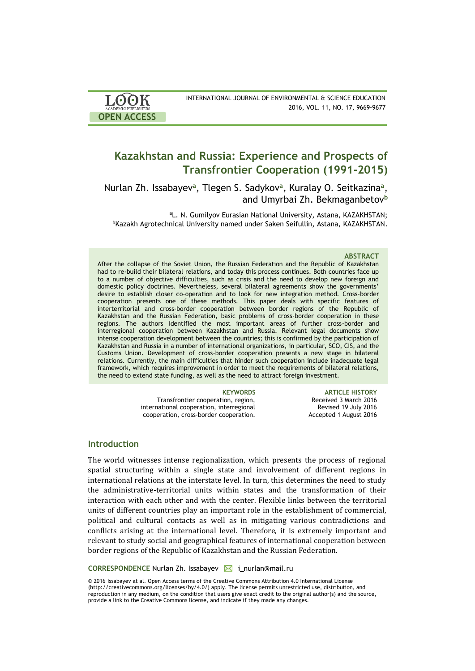| <b>ACADEMIC PUBLISHERS</b> |
|----------------------------|
|                            |

INTERNATIONAL JOURNAL OF ENVIRONMENTAL & SCIENCE EDUCATION 2016, VOL. 11, NO. 17, 9669-9677

# **Kazakhstan and Russia: Experience and Prospects of Transfrontier Cooperation (1991-2015)**

Nurlan Zh. Issabayev<sup>a</sup>, Tlegen S. Sadykov<sup>a</sup>, Kuralay O. Seitkazina<sup>a</sup>, and Umyrbai Zh. Bekmaganbetov**<sup>b</sup>**

<sup>a</sup>L. N. Gumilyov Eurasian National University, Astana, KAZAKHSTAN; <sup>b</sup>Kazakh Agrotechnical University named under Saken Seifullin, Astana, KAZAKHSTAN.

### **ABSTRACT**

After the collapse of the Soviet Union, the Russian Federation and the Republic of Kazakhstan had to re-build their bilateral relations, and today this process continues. Both countries face up to a number of objective difficulties, such as crisis and the need to develop new foreign and domestic policy doctrines. Nevertheless, several bilateral agreements show the governments' desire to establish closer co-operation and to look for new integration method. Cross-border cooperation presents one of these methods. This paper deals with specific features of interterritorial and cross-border cooperation between border regions of the Republic of Kazakhstan and the Russian Federation, basic problems of cross-border cooperation in these regions. The authors identified the most important areas of further cross-border and interregional cooperation between Kazakhstan and Russia. Relevant legal documents show intense cooperation development between the countries; this is confirmed by the participation of Kazakhstan and Russia in a number of international organizations, in particular, SCO, CIS, and the Customs Union. Development of cross-border cooperation presents a new stage in bilateral relations. Currently, the main difficulties that hinder such cooperation include inadequate legal framework, which requires improvement in order to meet the requirements of bilateral relations, the need to extend state funding, as well as the need to attract foreign investment.

> Transfrontier cooperation, region, international cooperation, interregional cooperation, cross-border cooperation.

**KEYWORDS ARTICLE HISTORY** Received 3 March 2016 Revised 19 July 2016 Accepted 1 August 2016

# **Introduction**

The world witnesses intense regionalization, which presents the process of regional spatial structuring within a single state and involvement of different regions in international relations at the interstate level. In turn, this determines the need to study the administrative-territorial units within states and the transformation of their interaction with each other and with the center. Flexible links between the territorial units of different countries play an important role in the establishment of commercial, political and cultural contacts as well as in mitigating various contradictions and conflicts arising at the international level. Therefore, it is extremely important and relevant to study social and geographical features of international cooperation between border regions of the Republic of Kazakhstan and the Russian Federation.

**CORRESPONDENCE** Nurlan Zh. Issabayev **i\_**i nurlan@mail.ru

© 2016 Issabayev at al. Open Access terms of the Creative Commons Attribution 4.0 International License (http://creativecommons.org/licenses/by/4.0/) apply. The license permits unrestricted use, distribution, and reproduction in any medium, on the condition that users give exact credit to the original author(s) and the source, provide a link to the Creative Commons license, and indicate if they made any changes.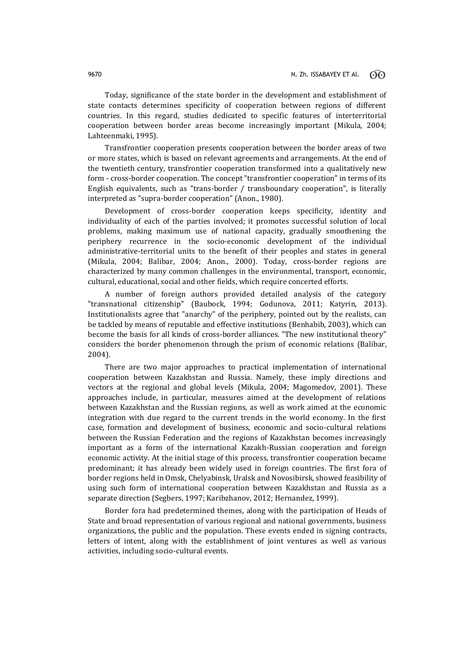Today, significance of the state border in the development and establishment of state contacts determines specificity of cooperation between regions of different countries. In this regard, studies dedicated to specific features of interterritorial cooperation between border areas become increasingly important (Mikula, 2004; Lahteenmaki, 1995).

Transfrontier cooperation presents cooperation between the border areas of two or more states, which is based on relevant agreements and arrangements. At the end of the twentieth century, transfrontier cooperation transformed into a qualitatively new form - cross-border cooperation. The concept "transfrontier cooperation" in terms of its English equivalents, such as "trans-border / transboundary cooperation", is literally interpreted as "supra-border cooperation" (Anon., 1980).

Development of cross-border cooperation keeps specificity, identity and individuality of each of the parties involved; it promotes successful solution of local problems, making maximum use of national capacity, gradually smoothening the periphery recurrence in the socio-economic development of the individual administrative-territorial units to the benefit of their peoples and states in general (Mikula, 2004; Balibar, 2004; Anon., 2000). Today, cross-border regions are characterized by many common challenges in the environmental, transport, economic, cultural, educational, social and other fields, which require concerted efforts.

A number of foreign authors provided detailed analysis of the category "transnational citizenship" (Baubоck, 1994; Godunova, 2011; Katyrin, 2013). Institutionalists agree that "anarchy" of the periphery, pointed out by the realists, can be tackled by means of reputable and effective institutions (Benhabib, 2003), which can become the basis for all kinds of cross-border alliances. "The new institutional theory" considers the border phenomenon through the prism of economic relations (Balibar, 2004).

There are two major approaches to practical implementation of international cooperation between Kazakhstan and Russia. Namely, these imply directions and vectors at the regional and global levels (Mikula, 2004; Magomedov, 2001). These approaches include, in particular, measures aimed at the development of relations between Kazakhstan and the Russian regions, as well as work aimed at the economic integration with due regard to the current trends in the world economy. In the first case, formation and development of business, economic and socio-cultural relations between the Russian Federation and the regions of Kazakhstan becomes increasingly important as a form of the international Kazakh-Russian cooperation and foreign economic activity. At the initial stage of this process, transfrontier cooperation became predominant; it has already been widely used in foreign countries. The first fora of border regions held in Omsk, Chelyabinsk, Uralsk and Novosibirsk, showed feasibility of using such form of international cooperation between Kazakhstan and Russia as a separate direction (Segbers, 1997; Karibzhanov, 2012; Hernandez, 1999).

Border fora had predetermined themes, along with the participation of Heads of State and broad representation of various regional and national governments, business organizations, the public and the population. These events ended in signing contracts, letters of intent, along with the establishment of joint ventures as well as various activities, including socio-cultural events.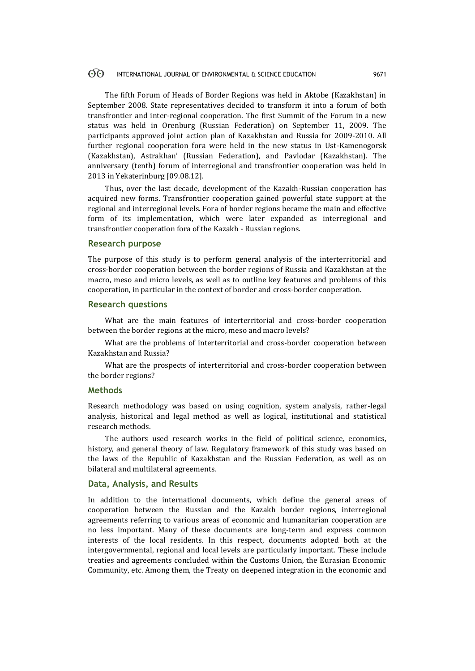#### $\Theta$ INTERNATIONAL JOURNAL OF ENVIRONMENTAL & SCIENCE EDUCATION 9671

The fifth Forum of Heads of Border Regions was held in Aktobe (Kazakhstan) in September 2008. State representatives decided to transform it into a forum of both transfrontier and inter-regional cooperation. The first Summit of the Forum in a new status was held in Orenburg (Russian Federation) on September 11, 2009. The participants approved joint action plan of Kazakhstan and Russia for 2009-2010. All further regional cooperation fora were held in the new status in Ust-Kamenogorsk (Kazakhstan), Astrakhan' (Russian Federation), and Pavlodar (Kazakhstan). The anniversary (tenth) forum of interregional and transfrontier cooperation was held in 2013 in Yekaterinburg [09.08.12].

Thus, over the last decade, development of the Kazakh-Russian cooperation has acquired new forms. Transfrontier cooperation gained powerful state support at the regional and interregional levels. Fora of border regions became the main and effective form of its implementation, which were later expanded as interregional and transfrontier cooperation fora of the Kazakh - Russian regions.

# **Research purpose**

The purpose of this study is to perform general analysis of the interterritorial and cross-border cooperation between the border regions of Russia and Kazakhstan at the macro, meso and micro levels, as well as to outline key features and problems of this cooperation, in particular in the context of border and cross-border cooperation.

# **Research questions**

What are the main features of interterritorial and cross-border cooperation between the border regions at the micro, meso and macro levels?

What are the problems of interterritorial and cross-border cooperation between Kazakhstan and Russia?

What are the prospects of interterritorial and cross-border cooperation between the border regions?

# **Methods**

Research methodology was based on using cognition, system analysis, rather-legal analysis, historical and legal method as well as logical, institutional and statistical research methods.

The authors used research works in the field of political science, economics, history, and general theory of law. Regulatory framework of this study was based on the laws of the Republic of Kazakhstan and the Russian Federation, as well as on bilateral and multilateral agreements.

# **Data, Analysis, and Results**

In addition to the international documents, which define the general areas of cooperation between the Russian and the Kazakh border regions, interregional agreements referring to various areas of economic and humanitarian cooperation are no less important. Many of these documents are long-term and express common interests of the local residents. In this respect, documents adopted both at the intergovernmental, regional and local levels are particularly important. These include treaties and agreements concluded within the Customs Union, the Eurasian Economic Community, etc. Among them, the Treaty on deepened integration in the economic and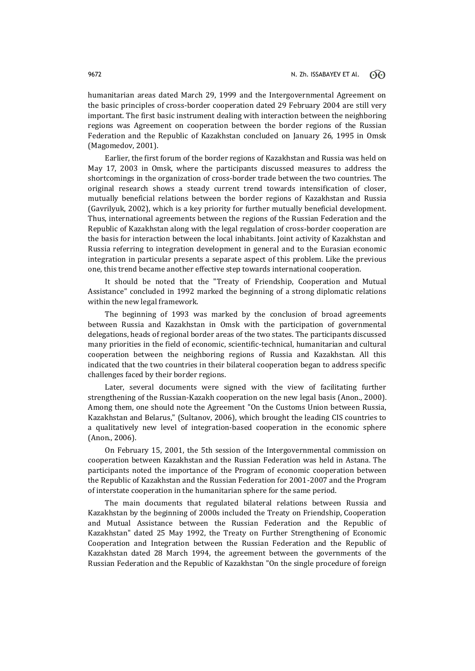humanitarian areas dated March 29, 1999 and the Intergovernmental Agreement on the basic principles of cross-border cooperation dated 29 February 2004 are still very important. The first basic instrument dealing with interaction between the neighboring regions was Agreement on cooperation between the border regions of the Russian Federation and the Republic of Kazakhstan concluded on January 26, 1995 in Omsk (Magomedov, 2001).

Earlier, the first forum of the border regions of Kazakhstan and Russia was held on May 17, 2003 in Omsk, where the participants discussed measures to address the shortcomings in the organization of cross-border trade between the two countries. The original research shows a steady current trend towards intensification of closer, mutually beneficial relations between the border regions of Kazakhstan and Russia (Gavrilyuk, 2002), which is a key priority for further mutually beneficial development. Thus, international agreements between the regions of the Russian Federation and the Republic of Kazakhstan along with the legal regulation of cross-border cooperation are the basis for interaction between the local inhabitants. Joint activity of Kazakhstan and Russia referring to integration development in general and to the Eurasian economic integration in particular presents a separate aspect of this problem. Like the previous one, this trend became another effective step towards international cooperation.

It should be noted that the "Treaty of Friendship, Cooperation and Mutual Assistance" concluded in 1992 marked the beginning of a strong diplomatic relations within the new legal framework.

The beginning of 1993 was marked by the conclusion of broad agreements between Russia and Kazakhstan in Omsk with the participation of governmental delegations, heads of regional border areas of the two states. The participants discussed many priorities in the field of economic, scientific-technical, humanitarian and cultural cooperation between the neighboring regions of Russia and Kazakhstan. All this indicated that the two countries in their bilateral cooperation began to address specific challenges faced by their border regions.

Later, several documents were signed with the view of facilitating further strengthening of the Russian-Kazakh cooperation on the new legal basis (Anon., 2000). Among them, one should note the Agreement "On the Customs Union between Russia, Kazakhstan and Belarus," (Sultanov, 2006), which brought the leading CIS countries to a qualitatively new level of integration-based cooperation in the economic sphere (Anon., 2006).

On February 15, 2001, the 5th session of the Intergovernmental commission on cooperation between Kazakhstan and the Russian Federation was held in Astana. The participants noted the importance of the Program of economic cooperation between the Republic of Kazakhstan and the Russian Federation for 2001-2007 and the Program of interstate cooperation in the humanitarian sphere for the same period.

The main documents that regulated bilateral relations between Russia and Kazakhstan by the beginning of 2000s included the Treaty on Friendship, Cooperation and Mutual Assistance between the Russian Federation and the Republic of Kazakhstan" dated 25 May 1992, the Treaty on Further Strengthening of Economic Cooperation and Integration between the Russian Federation and the Republic of Kazakhstan dated 28 March 1994, the agreement between the governments of the Russian Federation and the Republic of Kazakhstan "On the single procedure of foreign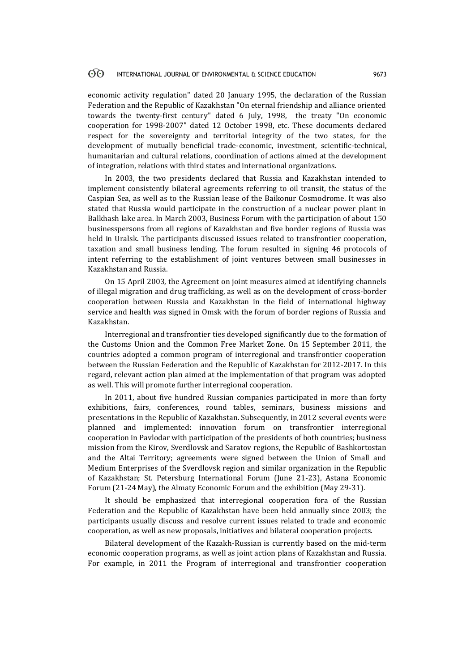#### 60 INTERNATIONAL JOURNAL OF ENVIRONMENTAL & SCIENCE EDUCATION 9673

economic activity regulation" dated 20 January 1995, the declaration of the Russian Federation and the Republic of Kazakhstan "On eternal friendship and alliance oriented towards the twenty-first century" dated 6 July, 1998, the treaty "On economic cooperation for 1998-2007" dated 12 October 1998, etc. These documents declared respect for the sovereignty and territorial integrity of the two states, for the development of mutually beneficial trade-economic, investment, scientific-technical, humanitarian and cultural relations, coordination of actions aimed at the development of integration, relations with third states and international organizations.

In 2003, the two presidents declared that Russia and Kazakhstan intended to implement consistently bilateral agreements referring to oil transit, the status of the Caspian Sea, as well as to the Russian lease of the Baikonur Cosmodrome. It was also stated that Russia would participate in the construction of a nuclear power plant in Balkhash lake area. In March 2003, Business Forum with the participation of about 150 businesspersons from all regions of Kazakhstan and five border regions of Russia was held in Uralsk. The participants discussed issues related to transfrontier cooperation, taxation and small business lending. The forum resulted in signing 46 protocols of intent referring to the establishment of joint ventures between small businesses in Kazakhstan and Russia.

On 15 April 2003, the Agreement on joint measures aimed at identifying channels of illegal migration and drug trafficking, as well as on the development of cross-border cooperation between Russia and Kazakhstan in the field of international highway service and health was signed in Omsk with the forum of border regions of Russia and Kazakhstan.

Interregional and transfrontier ties developed significantly due to the formation of the Customs Union and the Common Free Market Zone. On 15 September 2011, the countries adopted a common program of interregional and transfrontier cooperation between the Russian Federation and the Republic of Kazakhstan for 2012-2017. In this regard, relevant action plan aimed at the implementation of that program was adopted as well. This will promote further interregional cooperation.

In 2011, about five hundred Russian companies participated in more than forty exhibitions, fairs, conferences, round tables, seminars, business missions and presentations in the Republic of Kazakhstan. Subsequently, in 2012 several events were planned and implemented: innovation forum on transfrontier interregional cooperation in Pavlodar with participation of the presidents of both countries; business mission from the Kirov, Sverdlovsk and Saratov regions, the Republic of Bashkortostan and the Altai Territory; agreements were signed between the Union of Small and Medium Enterprises of the Sverdlovsk region and similar organization in the Republic of Kazakhstan; St. Petersburg International Forum (June 21-23), Astana Economic Forum (21-24 May), the Almaty Economic Forum and the exhibition (May 29-31).

It should be emphasized that interregional cooperation fora of the Russian Federation and the Republic of Kazakhstan have been held annually since 2003; the participants usually discuss and resolve current issues related to trade and economic cooperation, as well as new proposals, initiatives and bilateral cooperation projects.

Bilateral development of the Kazakh-Russian is currently based on the mid-term economic cooperation programs, as well as joint action plans of Kazakhstan and Russia. For example, in 2011 the Program of interregional and transfrontier cooperation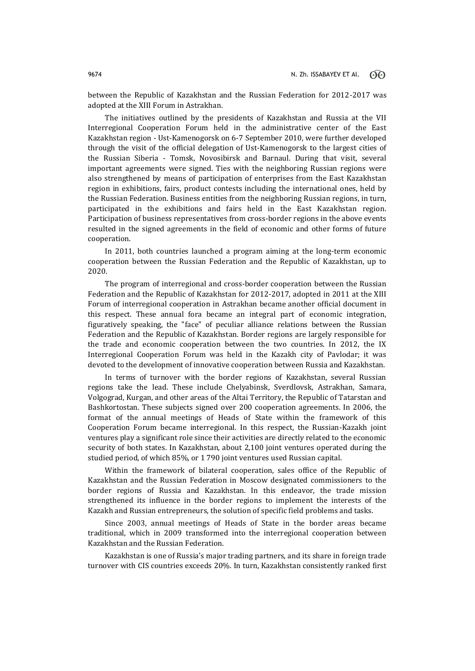between the Republic of Kazakhstan and the Russian Federation for 2012-2017 was adopted at the XIII Forum in Astrakhan.

The initiatives outlined by the presidents of Kazakhstan and Russia at the VII Interregional Cooperation Forum held in the administrative center of the East Kazakhstan region - Ust-Kamenogorsk on 6-7 September 2010, were further developed through the visit of the official delegation of Ust-Kamenogorsk to the largest cities of the Russian Siberia - Tomsk, Novosibirsk and Barnaul. During that visit, several important agreements were signed. Ties with the neighboring Russian regions were also strengthened by means of participation of enterprises from the East Kazakhstan region in exhibitions, fairs, product contests including the international ones, held by the Russian Federation. Business entities from the neighboring Russian regions, in turn, participated in the exhibitions and fairs held in the East Kazakhstan region. Participation of business representatives from cross-border regions in the above events resulted in the signed agreements in the field of economic and other forms of future cooperation.

In 2011, both countries launched a program aiming at the long-term economic cooperation between the Russian Federation and the Republic of Kazakhstan, up to 2020.

The program of interregional and cross-border cooperation between the Russian Federation and the Republic of Kazakhstan for 2012-2017, adopted in 2011 at the XIII Forum of interregional cooperation in Astrakhan became another official document in this respect. These annual fora became an integral part of economic integration, figuratively speaking, the "face" of peculiar alliance relations between the Russian Federation and the Republic of Kazakhstan. Border regions are largely responsible for the trade and economic cooperation between the two countries. In 2012, the IX Interregional Cooperation Forum was held in the Kazakh city of Pavlodar; it was devoted to the development of innovative cooperation between Russia and Kazakhstan.

In terms of turnover with the border regions of Kazakhstan, several Russian regions take the lead. These include Chelyabinsk, Sverdlovsk, Astrakhan, Samara, Volgograd, Kurgan, and other areas of the Altai Territory, the Republic of Tatarstan and Bashkortostan. These subjects signed over 200 cooperation agreements. In 2006, the format of the annual meetings of Heads of State within the framework of this Cooperation Forum became interregional. In this respect, the Russian-Kazakh joint ventures play a significant role since their activities are directly related to the economic security of both states. In Kazakhstan, about 2,100 joint ventures operated during the studied period, of which 85%, or 1 790 joint ventures used Russian capital.

Within the framework of bilateral cooperation, sales office of the Republic of Kazakhstan and the Russian Federation in Moscow designated commissioners to the border regions of Russia and Kazakhstan. In this endeavor, the trade mission strengthened its influence in the border regions to implement the interests of the Kazakh and Russian entrepreneurs, the solution of specific field problems and tasks.

Since 2003, annual meetings of Heads of State in the border areas became traditional, which in 2009 transformed into the interregional cooperation between Kazakhstan and the Russian Federation.

Kazakhstan is one of Russia's major trading partners, and its share in foreign trade turnover with CIS countries exceeds 20%. In turn, Kazakhstan consistently ranked first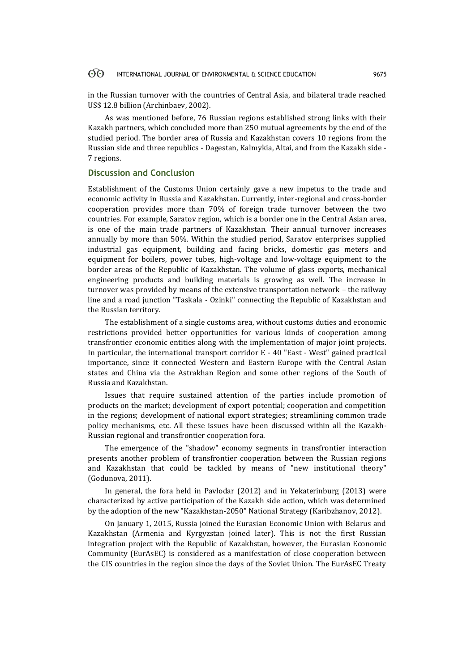#### $\odot$ INTERNATIONAL JOURNAL OF ENVIRONMENTAL & SCIENCE EDUCATION 9675

in the Russian turnover with the countries of Central Asia, and bilateral trade reached US\$ 12.8 billion (Archinbaev, 2002).

As was mentioned before, 76 Russian regions established strong links with their Kazakh partners, which concluded more than 250 mutual agreements by the end of the studied period. The border area of Russia and Kazakhstan covers 10 regions from the Russian side and three republics - Dagestan, Kalmykia, Altai, and from the Kazakh side - 7 regions.

# **Discussion and Conclusion**

Establishment of the Customs Union certainly gave a new impetus to the trade and economic activity in Russia and Kazakhstan. Currently, inter-regional and cross-border cooperation provides more than 70% of foreign trade turnover between the two countries. For example, Saratov region, which is a border one in the Central Asian area, is one of the main trade partners of Kazakhstan. Their annual turnover increases annually by more than 50%. Within the studied period, Saratov enterprises supplied industrial gas equipment, building and facing bricks, domestic gas meters and equipment for boilers, power tubes, high-voltage and low-voltage equipment to the border areas of the Republic of Kazakhstan. The volume of glass exports, mechanical engineering products and building materials is growing as well. The increase in turnover was provided by means of the extensive transportation network – the railway line and a road junction "Taskala - Ozinki" connecting the Republic of Kazakhstan and the Russian territory.

The establishment of a single customs area, without customs duties and economic restrictions provided better opportunities for various kinds of cooperation among transfrontier economic entities along with the implementation of major joint projects. In particular, the international transport corridor E - 40 "East - West" gained practical importance, since it connected Western and Eastern Europe with the Central Asian states and China via the Astrakhan Region and some other regions of the South of Russia and Kazakhstan.

Issues that require sustained attention of the parties include promotion of products on the market; development of export potential; cooperation and competition in the regions; development of national export strategies; streamlining common trade policy mechanisms, etc. All these issues have been discussed within all the Kazakh-Russian regional and transfrontier cooperation fora.

The emergence of the "shadow" economy segments in transfrontier interaction presents another problem of transfrontier cooperation between the Russian regions and Kazakhstan that could be tackled by means of "new institutional theory" (Godunova, 2011).

In general, the fora held in Pavlodar (2012) and in Yekaterinburg (2013) were characterized by active participation of the Kazakh side action, which was determined by the adoption of the new "Kazakhstan-2050" National Strategy (Karibzhanov, 2012).

On January 1, 2015, Russia joined the Eurasian Economic Union with Belarus and Kazakhstan (Armenia and Kyrgyzstan joined later). This is not the first Russian integration project with the Republic of Kazakhstan, however, the Eurasian Economic Community (EurAsEC) is considered as a manifestation of close cooperation between the CIS countries in the region since the days of the Soviet Union. The EurAsEC Treaty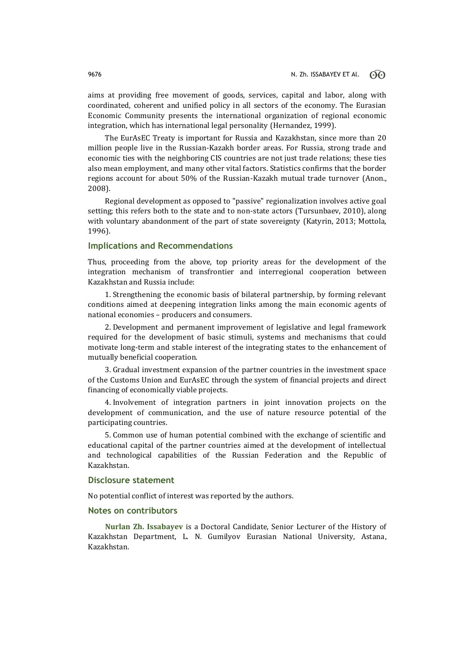aims at providing free movement of goods, services, capital and labor, along with coordinated, coherent and unified policy in all sectors of the economy. The Eurasian Economic Community presents the international organization of regional economic integration, which has international legal personality (Hernandez, 1999).

The EurAsEC Treaty is important for Russia and Kazakhstan, since more than 20 million people live in the Russian-Kazakh border areas. For Russia, strong trade and economic ties with the neighboring CIS countries are not just trade relations; these ties also mean employment, and many other vital factors. Statistics confirms that the border regions account for about 50% of the Russian-Kazakh mutual trade turnover (Anon., 2008).

Regional development as opposed to "passive" regionalization involves active goal setting; this refers both to the state and to non-state actors (Тursunbaev, 2010), along with voluntary abandonment of the part of state sovereignty (Katyrin, 2013; Mottola, 1996).

# **Implications and Recommendations**

Thus, proceeding from the above, top priority areas for the development of the integration mechanism of transfrontier and interregional cooperation between Kazakhstan and Russia include:

1. Strengthening the economic basis of bilateral partnership, by forming relevant conditions aimed at deepening integration links among the main economic agents of national economies – producers and consumers.

2. Development and permanent improvement of legislative and legal framework required for the development of basic stimuli, systems and mechanisms that could motivate long-term and stable interest of the integrating states to the enhancement of mutually beneficial cooperation.

3. Gradual investment expansion of the partner countries in the investment space of the Customs Union and EurAsEC through the system of financial projects and direct financing of economically viable projects.

4. Involvement of integration partners in joint innovation projects on the development of communication, and the use of nature resource potential of the participating countries.

5. Common use of human potential combined with the exchange of scientific and educational capital of the partner countries aimed at the development of intellectual and technological capabilities of the Russian Federation and the Republic of Kazakhstan.

### **Disclosure statement**

No potential conflict of interest was reported by the authors.

# **Notes on contributors**

**Nurlan Zh. Issabayev** is a Doctoral Candidate, Senior Lecturer of the History of Kazakhstan Department, L. N. Gumilyov Eurasian National University, Astana, Kazakhstan.